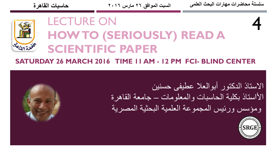

# LECTURE ON **HOW TO (SERIOUSLY) READ A SCIENTIFIC PAPER**

#### **SATURDAY 26 MARCH 2016 TIME 11 AM - 12 PM FCI- BLIND CENTER**

االستاذ الدكتور أبوالعال عطيفى حسنين األاستاذ بكلية الحاسبات والمعلومات – جامعة القاهرة ومؤسس ورئيس المجموعة العلمية البحثية المصرية



4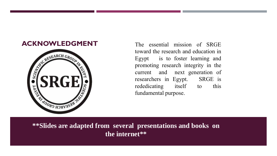

**ACKNOWLEDGMENT** The essential mission of SRGE toward the research and education in Egypt is to foster learning and promoting research in the set of the search in the search in the search in the search in the search in the toward the research and education in Egypt is to foster learning and promoting research integrity in the current and next generation of researchers in Egypt. SRGE is rededicating itself to this fundamental purpose.

**\*\*Slides are adapted from several presentations and books on the internet\*\***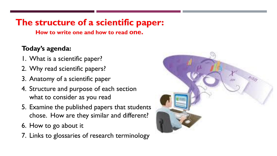### **The structure of a scientific paper:**

**How to write one and how to read one.**

#### **Today's agenda:**

- 1. What is a scientific paper?
- 2. Why read scientific papers?
- 3. Anatomy of a scientific paper
- 4. Structure and purpose of each section what to consider as you read
- 5. Examine the published papers that students chose. How are they similar and different?
- 6. How to go about it
- 7. Links to glossaries of research terminology

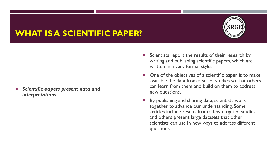#### **WHAT IS A SCIENTIFIC PAPER?**

 *Scientific papers present data and interpretations*

- Scientists report the results of their research by writing and publishing scientific papers, which are written in a very formal style.
- One of the objectives of a scientific paper is to make available the data from a set of studies so that others can learn from them and build on them to address new questions.
- By publishing and sharing data, scientists work together to advance our understanding. Some articles include results from a few targeted studies, and others present large datasets that other scientists can use in new ways to address different questions.

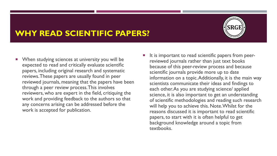#### **WHY READ SCIENTIFIC PAPERS?**

- **Notainary 19 Yien Studying sciences at university you will be** expected to read and critically evaluate scientific papers, including original research and systematic reviews. These papers are usually found in peer reviewed journals, meaning that the papers have been through a peer review process. This involves reviewers, who are expert in the field, critiquing the work and providing feedback to the authors so that any concerns arising can be addressed before the work is accepted for publication.
- It is important to read scientific papers from peerreviewed journals rather than just text books because of this peer-review process and because scientific journals provide more up to date information on a topic. Additionally, it is the main way scientists communicate their ideas and findings to each other. As you are studying science/ applied science, it is also important to get an understanding of scientific methodologies and reading such research will help you to achieve this. Note. Whilst for the reasons discussed it is important to read scientific papers, to start with it is often helpful to get background knowledge around a topic from textbooks.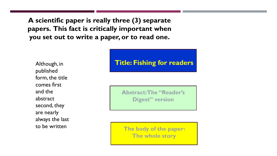**A scientific paper is really three (3) separate papers. This fact is critically important when you set out to write a paper, or to read one.**

Although, in published form, the title comes first and the abstract second, they are nearly always the last to be written

#### **Title: Fishing for readers**

**Abstract: The "Reader's Digest" version**

**The body of the paper: The whole story**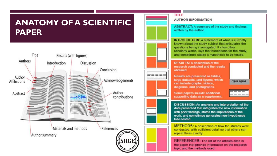#### **ANATOMY OF A SCIENTIFIC PAPER**





#### TITLE

**AUTHOR INFORMATION** 

ABSTRACT: A summary of the study and findings. written by the author.

**INTRODUCTION: A statement of what is currently** known about the study subject that articulates the questions being investigated. It cites other scholarly works, lays the foundations for the study, and sometimes states a hypothesis to be tested.

**RESULTS: A description of the** research conducted and the results obtained.

Results are presented as tables. large datasets, and figures, which can include graphs, videos, diagrams, and photographs.

Some papers include additional supporting data as a supplement.

Figure legend

DISCUSSION: An analysis and interpretation of the data presented that integrates the new information with prior findings, states the implications of the work, and sometimes generates new hypotheses tobe tested.

**METHODS:** A description of how the studies were conducted, with sufficient detail so that others can repeat them exactly.

**REFERENCES:** The list of the articles cited in the paper that provide information on the research topic and the methods used.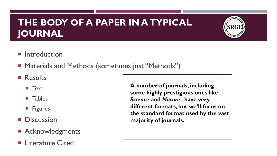### **THE BODY OF A PAPER IN A TYPICAL JOURNAL**



- **Introduction**
- Materials and Methods (sometimes just "Methods")
- **Results** 
	- $\blacksquare$  Text
	- **Tables**
	- **Figures**
- **Discussion**
- **Acknowledgments**
- **E** Literature Cited

**A number of journals, including some highly prestigious ones like**  *Science* **and** *Nature***, have very different formats, but we'll focus on the standard format used by the vast majority of journals.**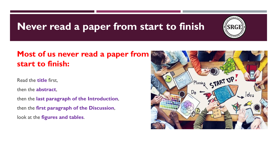## **Never read a paper from start to finish**



#### **Most of us never read a paper from start to finish:**

Read the **title** first,

then the **abstract**,

then the **last paragraph of the Introduction**, then the **first paragraph of the Discussion**, look at the **figures and tables**.

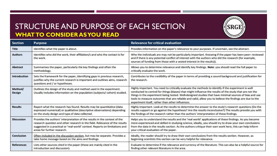#### STRUCTURE AND PURPOSE OF EACH SECTION **WHAT TO CONSIDER AS YOU READ**



| <b>Section</b>           | Purpose                                                                                                                                                                                                                                                                 | <b>Relevance for critical evaluation</b>                                                                                                                                                                                                                                                                                                                                                                                                                                                |
|--------------------------|-------------------------------------------------------------------------------------------------------------------------------------------------------------------------------------------------------------------------------------------------------------------------|-----------------------------------------------------------------------------------------------------------------------------------------------------------------------------------------------------------------------------------------------------------------------------------------------------------------------------------------------------------------------------------------------------------------------------------------------------------------------------------------|
| <b>Title</b>             | Identifies what the paper is about.                                                                                                                                                                                                                                     | Provides information on the paper's relevance to your purposes. If uncertain, see the abstract.                                                                                                                                                                                                                                                                                                                                                                                         |
| <b>Authors</b>           | Identifies who did the work, their affiliation/s and who the contact is for<br>the work.                                                                                                                                                                                | Who the individuals are may not be particularly important. Knowing if the paper has been peer- reviewed<br>and if there is any potential conflict of interest with the authors who did the research (for example,<br>sources of funding from those with a vested interest in the results)).                                                                                                                                                                                             |
| <b>Abstract</b>          | Summarises the paper, particularly the key findings and often the<br>methodology.                                                                                                                                                                                       | Allows you to determine relevance and identify key findings. Note: you should read the full paper to<br>critically evaluate the work.                                                                                                                                                                                                                                                                                                                                                   |
| <b>Introduction</b>      | Sets the framework for the paper, identifying gaps in previous research,<br>justifies why the current research is important and outlines aims, research<br>questions and / or hypotheses.                                                                               | Contributes to the credibility of the paper in terms of providing a sound background and justification for<br>the research.                                                                                                                                                                                                                                                                                                                                                             |
| Method/<br><b>Design</b> | Outlines the design of the study and method used in the experiment.<br>Usually includes information on the population (subjects/cohort) studied.                                                                                                                        | Highly important. You need to critically evaluate the methods to identify if the experiment is well<br>conducted to control for things (biases) that might influence the results of the study that are not the<br>things in the experiment being tested. Well-designed studies that have minimal sources of bias and use<br>tools to measure outcomes that are reliable and valid, allow you to believe the findings are due to the<br>experiment itself, rather than other influences. |
| <b>Results</b>           | Report what the research has found. Results may be quantitative (data<br>expressed numerical) or qualitative (descriptive observations) depending<br>on the study design and type of data collected.                                                                    | Highly important. Look at the results to determine the answer to the study's research questions (Do the<br>results support or go against the hypothesis? Are the results inconclusive?) The results provide you with<br>the findings of the research rather than the authors' interpretation of these findings.                                                                                                                                                                         |
| <b>Discussion</b>        | Provides the authors' interpretation of the results in the context of the<br>research question and other research in the field. Relevance of the results<br>suggested in a practical or 'real world' context. Reports on limitations and<br>areas for further research. | Helps you to understand the results and the 'real world' applications of these findings. As you become<br>more experienced and skilled in studying science, ideally, you should try to draw your own conclusions<br>from the data in the results section. As the authors critique their own work here, this can help inform<br>your critical evaluation of the paper.                                                                                                                   |
| <b>Conclusion</b>        | Often included in the discussion section, but may be separate. Provides a<br>take home message based on the aims and findings.                                                                                                                                          | Ideally, the reader should try to draw their own conclusions from the results section. However, as<br>beginning scientists this section can be very helpful for relevance.                                                                                                                                                                                                                                                                                                              |
| <b>References</b>        | Lists other sources cited in the paper (these are mainly cited in the<br>introduction and discussion).                                                                                                                                                                  | Evaluate to determine if the relevance and currency of the literature. This can also be a helpful source for<br>finding other relevant literature in the area.                                                                                                                                                                                                                                                                                                                          |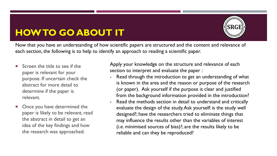# **HOW TO GO ABOUT IT**



Now that you have an understanding of how scientific papers are structured and the content and relevance of each section, the following is to help to identify an approach to reading a scientific paper.

- Screen the title to see if the paper is relevant for your purpose. If uncertain check the abstract for more detail to determine if the paper is relevant.
- Once you have determined the paper is likely to be relevant, read the abstract in detail to get an idea of the key findings and how the research was approached.

Apply your knowledge on the structure and relevance of each section to interpret and evaluate the paper :

- Read through the introduction to get an understanding of what is known in the area and the reason or purpose of the research (or paper). Ask yourself if the purpose is clear and justified from the background information provided in the introduction?
- Read the methods section in detail to understand and critically evaluate the design of the study. Ask yourself: is the study well designed?; have the researchers tried to eliminate things that may influence the results other than the variables of interest (i.e. minimised sources of bias)?; are the results likely to be reliable and can they be reproduced?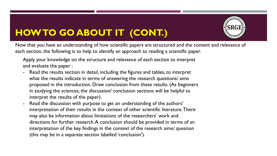

# **HOW TO GO ABOUT IT (CONT.)**

Now that you have an understanding of how scientific papers are structured and the content and relevance of each section, the following is to help to identify an approach to reading a scientific paper.

Apply your knowledge on the structure and relevance of each section to interpret and evaluate the paper :

- Read the results section in detail, including the figures and tables, to interpret what the results indicate in terms of answering the research questions/ aims proposed in the introduction. Draw conclusion from these results. (As beginners in studying the sciences, the discussion/ conclusion sections will be helpful to interpret the results of the paper).
- Read the discussion with purpose to get an understanding of the authors' interpretation of their results in the context of other scientific literature. There may also be information about limitations of the researchers' work and directions for further research. A conclusion should be provided in terms of an interpretation of the key findings in the context of the research aims/ question (this may be in a separate section labelled 'conclusion').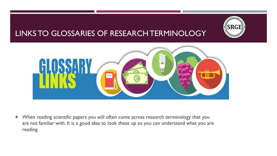# **SRGE**

#### LINKS TO GLOSSARIES OF RESEARCH TERMINOLOGY



**Number 19 Ferror Stendific Scientific papers you will often come across research terminology that you** are not familiar with. It is a good idea to look these up so you can understand what you are reading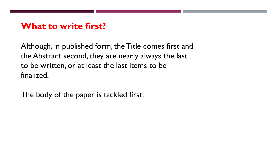#### **What to write first?**

Although, in published form, the Title comes first and the Abstract second, they are nearly always the last to be written, or at least the last items to be finalized.

The body of the paper is tackled first.